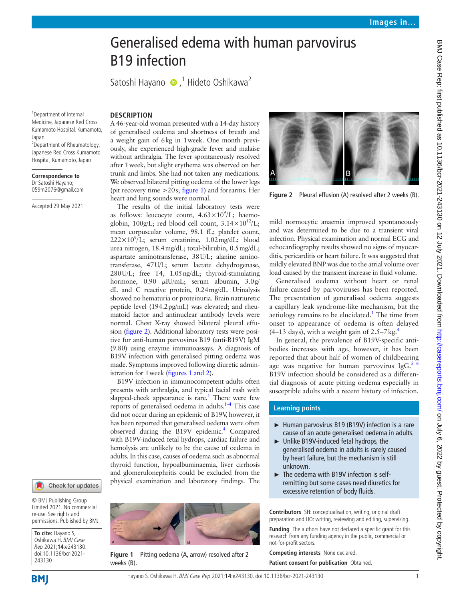# Generalised edema with human parvovirus B19 infection

SatoshiHayano (D,<sup>1</sup> Hideto Oshikawa<sup>2</sup>

<sup>1</sup>Department of Internal Medicine, Japanese Red Cross Kumamoto Hospital, Kumamoto, Japan

<sup>2</sup>Department of Rheumatology, Japanese Red Cross Kumamoto Hospital, Kumamoto, Japan

**Correspondence to** Dr Satoshi Hayano; 059m2076@gmail.com

Accepted 29 May 2021

## **DESCRIPTION**

A 46-year-old woman presented with a 14-day history of generalised oedema and shortness of breath and a weight gain of 6kg in 1week. One month previously, she experienced high-grade fever and malaise without arthralgia. The fever spontaneously resolved after 1week, but slight erythema was observed on her trunk and limbs. She had not taken any medications. We observed bilateral pitting oedema of the lower legs (pit recovery time  $>20$ s; [figure](#page-0-0) 1) and forearms. Her heart and lung sounds were normal.

The results of the initial laboratory tests were as follows: leucocyte count,  $4.63\times10^9$ /L; haemoglobin, 100g/L; red blood cell count,  $3.14 \times 10^{12}$ /L; mean corpuscular volume, 98.1 fL; platelet count,  $222 \times 10^9$ /L; serum creatinine, 1.02 mg/dL; blood urea nitrogen, 18.4mg/dL; total-bilirubin, 0.5mg/dL; aspartate aminotransferase, 38U/L; alanine aminotransferase, 47U/L; serum lactate dehydrogenase, 280U/L; free T4, 1.05ng/dL; thyroid-stimulating hormone, 0.90 μIU/mL; serum albumin, 3.0g/ dL and C reactive protein, 0.24mg/dL. Urinalysis showed no hematuria or proteinuria. Brain natriuretic peptide level (194.2pg/mL) was elevated; and rheumatoid factor and antinuclear antibody levels were normal. Chest X-ray showed bilateral pleural effusion [\(figure](#page-0-1) 2). Additional laboratory tests were positive for anti-human parvovirus B19 (anti-B19V) IgM (9.80) using enzyme immunoassays. A diagnosis of B19V infection with generalised pitting oedema was made. Symptoms improved following diuretic administration for 1week (figures [1 and 2\)](#page-0-0).

B19V infection in immunocompetent adults often presents with arthralgia, and typical facial rash with slapped-cheek appearance is rare.<sup>1</sup> There were few reports of generalised oedema in adults. $1-4$  This case did not occur during an epidemic of B19V, however, it has been reported that generalised oedema were often observed during the B19V epidemic.<sup>[4](#page-1-1)</sup> Compared with B19V-induced fetal hydrops, cardiac failure and hemolysis are unlikely to be the cause of oedema in adults. In this case, causes of oedema such as abnormal thyroid function, hypoalbuminaemia, liver cirrhosis and glomerulonephritis could be excluded from the physical examination and laboratory findings. The

#### Check for updates

© BMJ Publishing Group Limited 2021. No commercial re-use. See rights and permissions. Published by BMJ.

**To cite:** Hayano S, Oshikawa H. BMJ Case Rep 2021;**14**:e243130. doi:10.1136/bcr-2021- 243130

<span id="page-0-0"></span>

**Figure 1** Pitting oedema (A, arrow) resolved after 2 weeks (B).



**Figure 2** Pleural effusion (A) resolved after 2 weeks (B).

<span id="page-0-1"></span>mild normocytic anaemia improved spontaneously and was determined to be due to a transient viral infection. Physical examination and normal ECG and echocardiography results showed no signs of myocarditis, pericarditis or heart failure. It was suggested that mildly elevated BNP was due to the atrial volume over load caused by the transient increase in fluid volume.

Generalised oedema without heart or renal failure caused by parvoviruses has been reported. The presentation of generalised oedema suggests a capillary leak syndrome-like mechanism, but the aetiology remains to be elucidated.<sup>[1](#page-1-0)</sup> The time from onset to appearance of oedema is often delayed  $(4-13$  $(4-13$  $(4-13$  days), with a weight gain of 2.5–7 kg.<sup>4</sup>

In general, the prevalence of B19V-specific antibodies increases with age, however, it has been reported that about half of women of childbearing age was negative for human parvovirus  $\lg G$ .<sup>5</sup> B19V infection should be considered as a differential diagnosis of acute pitting oedema especially in susceptible adults with a recent history of infection.

## **Learning points**

- ► Human parvovirus B19 (B19V) infection is a rare cause of an acute generalised oedema in adults.
- ► Unlike B19V-induced fetal hydrops, the generalised oedema in adults is rarely caused by heart failure, but the mechanism is still unknown.
- $\blacktriangleright$  The oedema with B19V infection is selfremitting but some cases need diuretics for excessive retention of body fluids.

**Contributors** SH: conceptualisation, writing, original draft preparation and HO: writing, reviewing and editing, supervising.

**Funding** The authors have not declared a specific grant for this research from any funding agency in the public, commercial or not-for-profit sectors.

**Competing interests** None declared. **Patient consent for publication** Obtained.